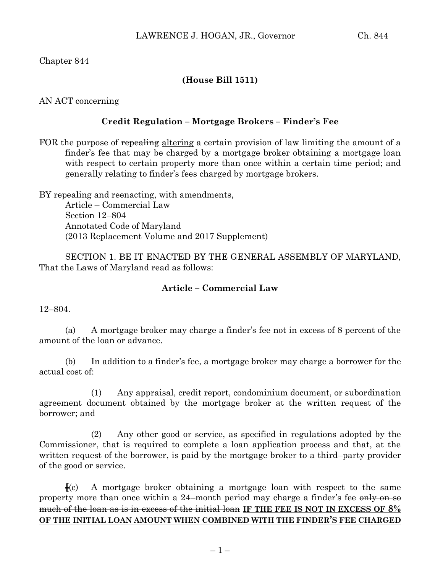## Chapter 844

# **(House Bill 1511)**

AN ACT concerning

### **Credit Regulation – Mortgage Brokers – Finder's Fee**

FOR the purpose of repealing altering a certain provision of law limiting the amount of a finder's fee that may be charged by a mortgage broker obtaining a mortgage loan with respect to certain property more than once within a certain time period; and generally relating to finder's fees charged by mortgage brokers.

BY repealing and reenacting, with amendments, Article – Commercial Law Section 12–804 Annotated Code of Maryland (2013 Replacement Volume and 2017 Supplement)

SECTION 1. BE IT ENACTED BY THE GENERAL ASSEMBLY OF MARYLAND, That the Laws of Maryland read as follows:

#### **Article – Commercial Law**

12–804.

(a) A mortgage broker may charge a finder's fee not in excess of 8 percent of the amount of the loan or advance.

(b) In addition to a finder's fee, a mortgage broker may charge a borrower for the actual cost of:

(1) Any appraisal, credit report, condominium document, or subordination agreement document obtained by the mortgage broker at the written request of the borrower; and

(2) Any other good or service, as specified in regulations adopted by the Commissioner, that is required to complete a loan application process and that, at the written request of the borrower, is paid by the mortgage broker to a third–party provider of the good or service.

**[**(c) A mortgage broker obtaining a mortgage loan with respect to the same property more than once within a 24-month period may charge a finder's fee only on so much of the loan as is in excess of the initial loan **IF THE FEE IS NOT IN EXCESS OF 8% OF THE INITIAL LOAN AMOUNT WHEN COMBINED WITH THE FINDER'S FEE CHARGED**